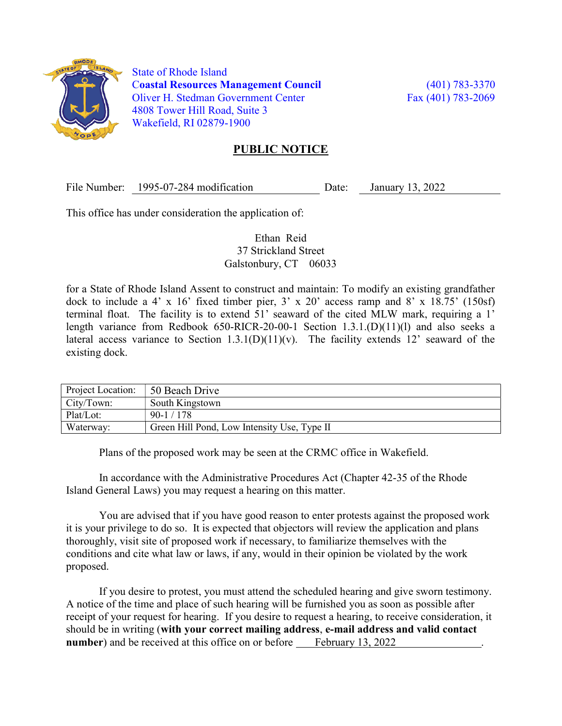

 State of Rhode Island Coastal Resources Management Council (401) 783-3370 Oliver H. Stedman Government Center Fax (401) 783-2069 4808 Tower Hill Road, Suite 3 Wakefield, RI 02879-1900

## PUBLIC NOTICE

File Number: 1995-07-284 modification Date: January 13, 2022

This office has under consideration the application of:

## Ethan Reid 37 Strickland Street Galstonbury, CT 06033

for a State of Rhode Island Assent to construct and maintain: To modify an existing grandfather dock to include a 4' x 16' fixed timber pier,  $3'$  x 20' access ramp and  $8'$  x 18.75' (150sf) terminal float. The facility is to extend 51' seaward of the cited MLW mark, requiring a 1' length variance from Redbook 650-RICR-20-00-1 Section 1.3.1.(D)(11)(l) and also seeks a lateral access variance to Section  $1.3.1(D)(11)(v)$ . The facility extends 12' seaward of the existing dock.

| Project Location: | 50 Beach Drive                              |
|-------------------|---------------------------------------------|
| City/Town:        | South Kingstown                             |
| Plat/Lot:         | $90-1/178$                                  |
| Waterway:         | Green Hill Pond, Low Intensity Use, Type II |

Plans of the proposed work may be seen at the CRMC office in Wakefield.

In accordance with the Administrative Procedures Act (Chapter 42-35 of the Rhode Island General Laws) you may request a hearing on this matter.

You are advised that if you have good reason to enter protests against the proposed work it is your privilege to do so. It is expected that objectors will review the application and plans thoroughly, visit site of proposed work if necessary, to familiarize themselves with the conditions and cite what law or laws, if any, would in their opinion be violated by the work proposed.

If you desire to protest, you must attend the scheduled hearing and give sworn testimony. A notice of the time and place of such hearing will be furnished you as soon as possible after receipt of your request for hearing. If you desire to request a hearing, to receive consideration, it should be in writing (with your correct mailing address, e-mail address and valid contact number) and be received at this office on or before February 13, 2022